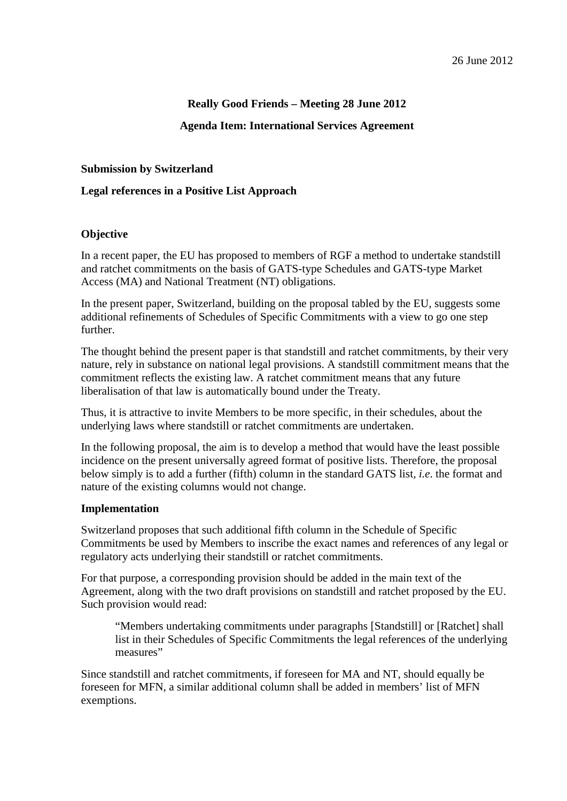# **Really Good Friends – Meeting 28 June 2012**

## **Agenda Item: International Services Agreement**

### **Submission by Switzerland**

## **Legal references in a Positive List Approach**

### **Objective**

In a recent paper, the EU has proposed to members of RGF a method to undertake standstill and ratchet commitments on the basis of GATS-type Schedules and GATS-type Market Access (MA) and National Treatment (NT) obligations.

In the present paper, Switzerland, building on the proposal tabled by the EU, suggests some additional refinements of Schedules of Specific Commitments with a view to go one step further.

The thought behind the present paper is that standstill and ratchet commitments, by their very nature, rely in substance on national legal provisions. A standstill commitment means that the commitment reflects the existing law. A ratchet commitment means that any future liberalisation of that law is automatically bound under the Treaty.

Thus, it is attractive to invite Members to be more specific, in their schedules, about the underlying laws where standstill or ratchet commitments are undertaken.

In the following proposal, the aim is to develop a method that would have the least possible incidence on the present universally agreed format of positive lists. Therefore, the proposal below simply is to add a further (fifth) column in the standard GATS list, *i.e*. the format and nature of the existing columns would not change.

### **Implementation**

Switzerland proposes that such additional fifth column in the Schedule of Specific Commitments be used by Members to inscribe the exact names and references of any legal or regulatory acts underlying their standstill or ratchet commitments.

For that purpose, a corresponding provision should be added in the main text of the Agreement, along with the two draft provisions on standstill and ratchet proposed by the EU. Such provision would read:

"Members undertaking commitments under paragraphs [Standstill] or [Ratchet] shall list in their Schedules of Specific Commitments the legal references of the underlying measures"

Since standstill and ratchet commitments, if foreseen for MA and NT, should equally be foreseen for MFN, a similar additional column shall be added in members' list of MFN exemptions.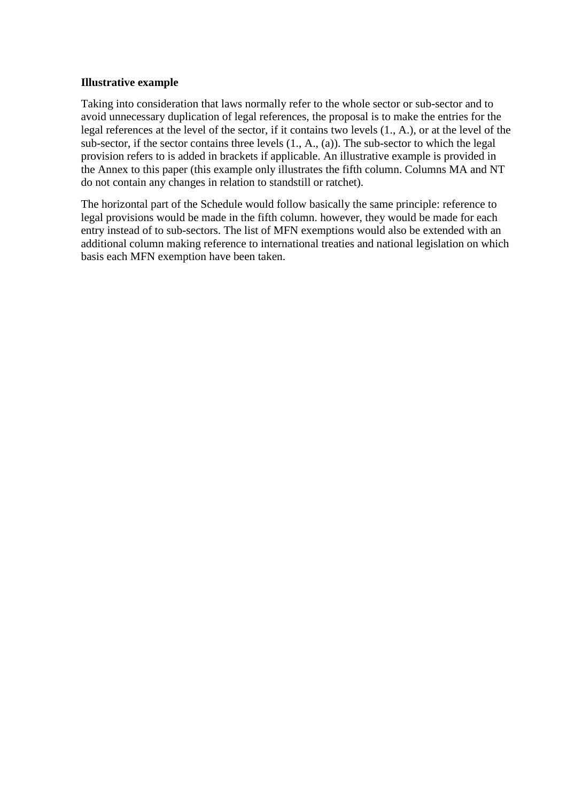## **Illustrative example**

Taking into consideration that laws normally refer to the whole sector or sub-sector and to avoid unnecessary duplication of legal references, the proposal is to make the entries for the legal references at the level of the sector, if it contains two levels (1., A.), or at the level of the sub-sector, if the sector contains three levels (1., A., (a)). The sub-sector to which the legal provision refers to is added in brackets if applicable. An illustrative example is provided in the Annex to this paper (this example only illustrates the fifth column. Columns MA and NT do not contain any changes in relation to standstill or ratchet).

The horizontal part of the Schedule would follow basically the same principle: reference to legal provisions would be made in the fifth column. however, they would be made for each entry instead of to sub-sectors. The list of MFN exemptions would also be extended with an additional column making reference to international treaties and national legislation on which basis each MFN exemption have been taken.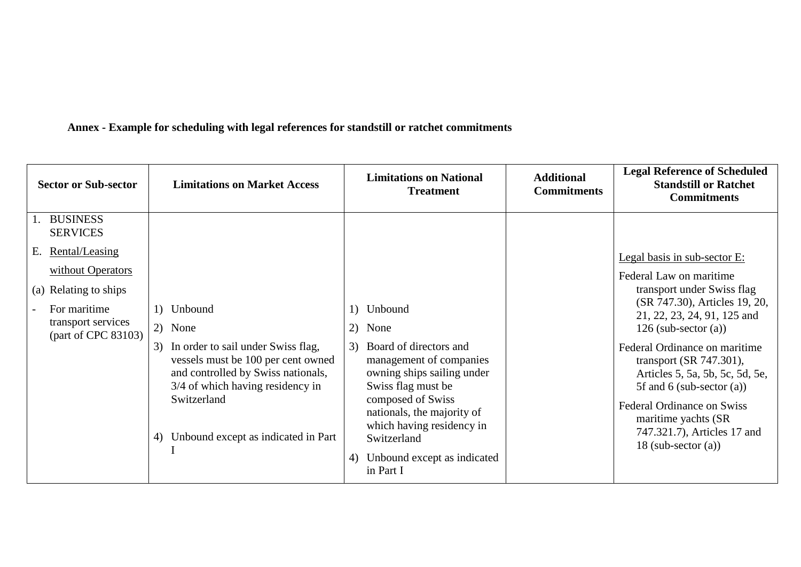**Annex - Example for scheduling with legal references for standstill or ratchet commitments**

| <b>Sector or Sub-sector</b>                                                                                                                                                  | <b>Limitations on Market Access</b>                                                                                                                                                                                                           | <b>Limitations on National</b><br><b>Treatment</b>                                                                                                                                                                                                                                    | <b>Additional</b><br><b>Commitments</b> | <b>Legal Reference of Scheduled</b><br><b>Standstill or Ratchet</b><br><b>Commitments</b>                                                                                                                                                                                                                                                                                                                                             |
|------------------------------------------------------------------------------------------------------------------------------------------------------------------------------|-----------------------------------------------------------------------------------------------------------------------------------------------------------------------------------------------------------------------------------------------|---------------------------------------------------------------------------------------------------------------------------------------------------------------------------------------------------------------------------------------------------------------------------------------|-----------------------------------------|---------------------------------------------------------------------------------------------------------------------------------------------------------------------------------------------------------------------------------------------------------------------------------------------------------------------------------------------------------------------------------------------------------------------------------------|
| <b>BUSINESS</b><br><b>SERVICES</b><br>Е.<br><u>Rental/Leasing</u><br>without Operators<br>(a) Relating to ships<br>For maritime<br>transport services<br>(part of CPC 83103) | 1) Unbound<br>2) None<br>In order to sail under Swiss flag,<br>3)<br>vessels must be 100 per cent owned<br>and controlled by Swiss nationals,<br>3/4 of which having residency in<br>Switzerland<br>Unbound except as indicated in Part<br>4) | Unbound<br>None<br>2)<br>Board of directors and<br>3)<br>management of companies<br>owning ships sailing under<br>Swiss flag must be<br>composed of Swiss<br>nationals, the majority of<br>which having residency in<br>Switzerland<br>Unbound except as indicated<br>4)<br>in Part I |                                         | Legal basis in sub-sector E:<br>Federal Law on maritime<br>transport under Swiss flag<br>(SR 747.30), Articles 19, 20,<br>21, 22, 23, 24, 91, 125 and<br>126 (sub-sector $(a)$ )<br>Federal Ordinance on maritime<br>transport (SR 747.301),<br>Articles 5, 5a, 5b, 5c, 5d, 5e,<br>5f and 6 (sub-sector $(a)$ )<br><b>Federal Ordinance on Swiss</b><br>maritime yachts (SR)<br>747.321.7), Articles 17 and<br>18 (sub-sector $(a)$ ) |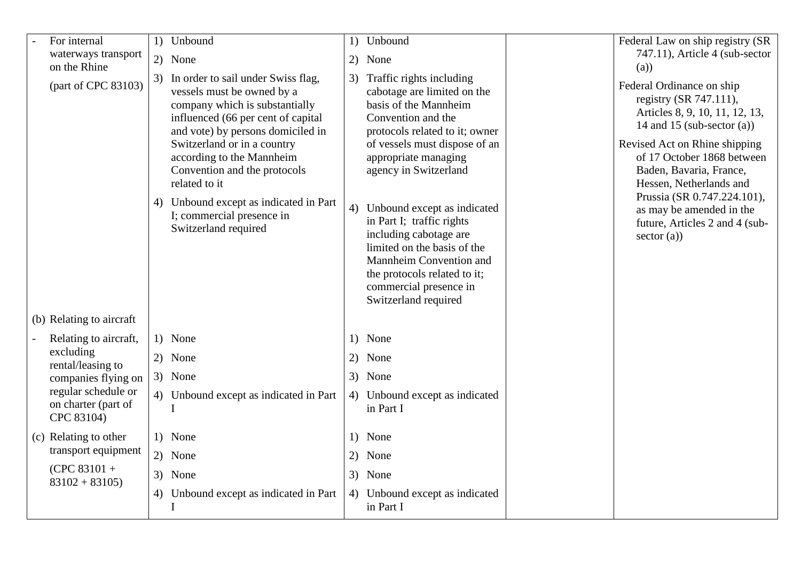| For internal                                             | 1) Unbound                                                                                                                                                                                                                                                                                                                                                                                   | 1) | Unbound                                                                                                                                                                                                                                                                                                                                                                                                                                                         | Federal Law on ship registry (SR                                                                                                                                                                                                                                                                                                                        |
|----------------------------------------------------------|----------------------------------------------------------------------------------------------------------------------------------------------------------------------------------------------------------------------------------------------------------------------------------------------------------------------------------------------------------------------------------------------|----|-----------------------------------------------------------------------------------------------------------------------------------------------------------------------------------------------------------------------------------------------------------------------------------------------------------------------------------------------------------------------------------------------------------------------------------------------------------------|---------------------------------------------------------------------------------------------------------------------------------------------------------------------------------------------------------------------------------------------------------------------------------------------------------------------------------------------------------|
| waterways transport<br>on the Rhine                      | 2) None                                                                                                                                                                                                                                                                                                                                                                                      |    | 2) None                                                                                                                                                                                                                                                                                                                                                                                                                                                         | 747.11), Article 4 (sub-sector<br>(a)                                                                                                                                                                                                                                                                                                                   |
| (part of CPC 83103)                                      | 3) In order to sail under Swiss flag,<br>vessels must be owned by a<br>company which is substantially<br>influenced (66 per cent of capital<br>and vote) by persons domiciled in<br>Switzerland or in a country<br>according to the Mannheim<br>Convention and the protocols<br>related to it<br>4) Unbound except as indicated in Part<br>I; commercial presence in<br>Switzerland required | 4) | 3) Traffic rights including<br>cabotage are limited on the<br>basis of the Mannheim<br>Convention and the<br>protocols related to it; owner<br>of vessels must dispose of an<br>appropriate managing<br>agency in Switzerland<br>Unbound except as indicated<br>in Part I; traffic rights<br>including cabotage are<br>limited on the basis of the<br>Mannheim Convention and<br>the protocols related to it;<br>commercial presence in<br>Switzerland required | Federal Ordinance on ship<br>registry (SR 747.111),<br>Articles 8, 9, 10, 11, 12, 13,<br>14 and 15 (sub-sector $(a)$ )<br>Revised Act on Rhine shipping<br>of 17 October 1868 between<br>Baden, Bavaria, France,<br>Hessen, Netherlands and<br>Prussia (SR 0.747.224.101),<br>as may be amended in the<br>future, Articles 2 and 4 (sub-<br>sector (a)) |
| (b) Relating to aircraft                                 |                                                                                                                                                                                                                                                                                                                                                                                              |    |                                                                                                                                                                                                                                                                                                                                                                                                                                                                 |                                                                                                                                                                                                                                                                                                                                                         |
| Relating to aircraft,                                    | 1) None                                                                                                                                                                                                                                                                                                                                                                                      |    | 1) None                                                                                                                                                                                                                                                                                                                                                                                                                                                         |                                                                                                                                                                                                                                                                                                                                                         |
| excluding<br>rental/leasing to                           | 2) None                                                                                                                                                                                                                                                                                                                                                                                      |    | 2) None                                                                                                                                                                                                                                                                                                                                                                                                                                                         |                                                                                                                                                                                                                                                                                                                                                         |
| companies flying on                                      | 3) None                                                                                                                                                                                                                                                                                                                                                                                      |    | 3) None                                                                                                                                                                                                                                                                                                                                                                                                                                                         |                                                                                                                                                                                                                                                                                                                                                         |
| regular schedule or<br>on charter (part of<br>CPC 83104) | 4) Unbound except as indicated in Part<br>I                                                                                                                                                                                                                                                                                                                                                  |    | 4) Unbound except as indicated<br>in Part I                                                                                                                                                                                                                                                                                                                                                                                                                     |                                                                                                                                                                                                                                                                                                                                                         |
| (c) Relating to other                                    | 1) None                                                                                                                                                                                                                                                                                                                                                                                      |    | 1) None                                                                                                                                                                                                                                                                                                                                                                                                                                                         |                                                                                                                                                                                                                                                                                                                                                         |
| transport equipment                                      | 2) None                                                                                                                                                                                                                                                                                                                                                                                      |    | 2) None                                                                                                                                                                                                                                                                                                                                                                                                                                                         |                                                                                                                                                                                                                                                                                                                                                         |
| $(CPC 83101 +$<br>$83102 + 83105$                        | 3) None                                                                                                                                                                                                                                                                                                                                                                                      |    | 3) None                                                                                                                                                                                                                                                                                                                                                                                                                                                         |                                                                                                                                                                                                                                                                                                                                                         |
|                                                          | 4) Unbound except as indicated in Part<br>I                                                                                                                                                                                                                                                                                                                                                  |    | 4) Unbound except as indicated<br>in Part I                                                                                                                                                                                                                                                                                                                                                                                                                     |                                                                                                                                                                                                                                                                                                                                                         |